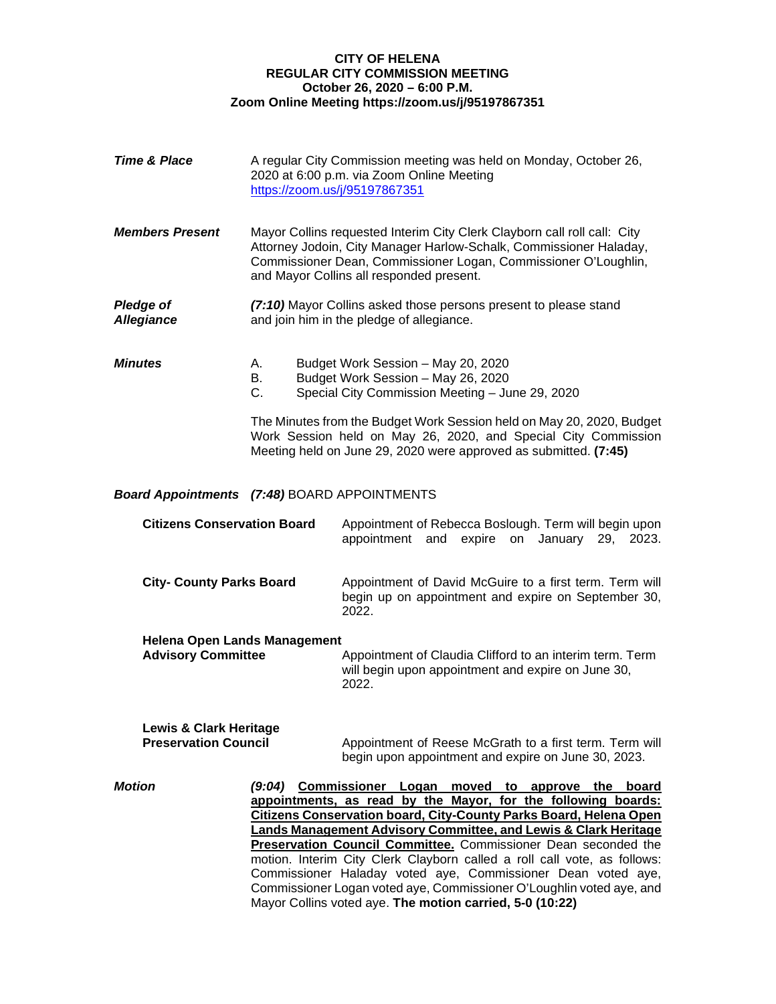## **CITY OF HELENA REGULAR CITY COMMISSION MEETING October 26, 2020 – 6:00 P.M. Zoom Online Meeting https://zoom.us/j/95197867351**

| <b>Time &amp; Place</b>                                          |                                                                                                                                                                                                                                                               | A regular City Commission meeting was held on Monday, October 26,<br>2020 at 6:00 p.m. via Zoom Online Meeting<br>https://zoom.us/j/95197867351                                                                                                                                                                                                                                                                                                                                                                                                                                                                               |  |
|------------------------------------------------------------------|---------------------------------------------------------------------------------------------------------------------------------------------------------------------------------------------------------------------------------------------------------------|-------------------------------------------------------------------------------------------------------------------------------------------------------------------------------------------------------------------------------------------------------------------------------------------------------------------------------------------------------------------------------------------------------------------------------------------------------------------------------------------------------------------------------------------------------------------------------------------------------------------------------|--|
| <b>Members Present</b>                                           | Mayor Collins requested Interim City Clerk Clayborn call roll call: City<br>Attorney Jodoin, City Manager Harlow-Schalk, Commissioner Haladay,<br>Commissioner Dean, Commissioner Logan, Commissioner O'Loughlin,<br>and Mayor Collins all responded present. |                                                                                                                                                                                                                                                                                                                                                                                                                                                                                                                                                                                                                               |  |
| <b>Pledge of</b><br><b>Allegiance</b>                            | (7:10) Mayor Collins asked those persons present to please stand<br>and join him in the pledge of allegiance.                                                                                                                                                 |                                                                                                                                                                                                                                                                                                                                                                                                                                                                                                                                                                                                                               |  |
| <b>Minutes</b>                                                   | А.<br>В.<br>$C_{1}$                                                                                                                                                                                                                                           | Budget Work Session - May 20, 2020<br>Budget Work Session - May 26, 2020<br>Special City Commission Meeting - June 29, 2020                                                                                                                                                                                                                                                                                                                                                                                                                                                                                                   |  |
|                                                                  |                                                                                                                                                                                                                                                               | The Minutes from the Budget Work Session held on May 20, 2020, Budget<br>Work Session held on May 26, 2020, and Special City Commission<br>Meeting held on June 29, 2020 were approved as submitted. (7:45)                                                                                                                                                                                                                                                                                                                                                                                                                   |  |
| <b>Board Appointments (7:48) BOARD APPOINTMENTS</b>              |                                                                                                                                                                                                                                                               |                                                                                                                                                                                                                                                                                                                                                                                                                                                                                                                                                                                                                               |  |
| <b>Citizens Conservation Board</b>                               |                                                                                                                                                                                                                                                               | Appointment of Rebecca Boslough. Term will begin upon<br>appointment<br>and expire on January 29, 2023.                                                                                                                                                                                                                                                                                                                                                                                                                                                                                                                       |  |
| <b>City- County Parks Board</b>                                  |                                                                                                                                                                                                                                                               | Appointment of David McGuire to a first term. Term will<br>begin up on appointment and expire on September 30,<br>2022.                                                                                                                                                                                                                                                                                                                                                                                                                                                                                                       |  |
| <b>Helena Open Lands Management</b><br><b>Advisory Committee</b> |                                                                                                                                                                                                                                                               | Appointment of Claudia Clifford to an interim term. Term<br>will begin upon appointment and expire on June 30,<br>2022.                                                                                                                                                                                                                                                                                                                                                                                                                                                                                                       |  |
| <b>Lewis &amp; Clark Heritage</b><br><b>Preservation Council</b> |                                                                                                                                                                                                                                                               | Appointment of Reese McGrath to a first term. Term will<br>begin upon appointment and expire on June 30, 2023.                                                                                                                                                                                                                                                                                                                                                                                                                                                                                                                |  |
| <b>Motion</b>                                                    |                                                                                                                                                                                                                                                               | (9:04) Commissioner Logan moved to approve the board<br>appointments, as read by the Mayor, for the following boards:<br><b>Citizens Conservation board, City-County Parks Board, Helena Open</b><br>Lands Management Advisory Committee, and Lewis & Clark Heritage<br><b>Preservation Council Committee.</b> Commissioner Dean seconded the<br>motion. Interim City Clerk Clayborn called a roll call vote, as follows:<br>Commissioner Haladay voted aye, Commissioner Dean voted aye,<br>Commissioner Logan voted aye, Commissioner O'Loughlin voted aye, and<br>Mayor Collins voted aye. The motion carried, 5-0 (10:22) |  |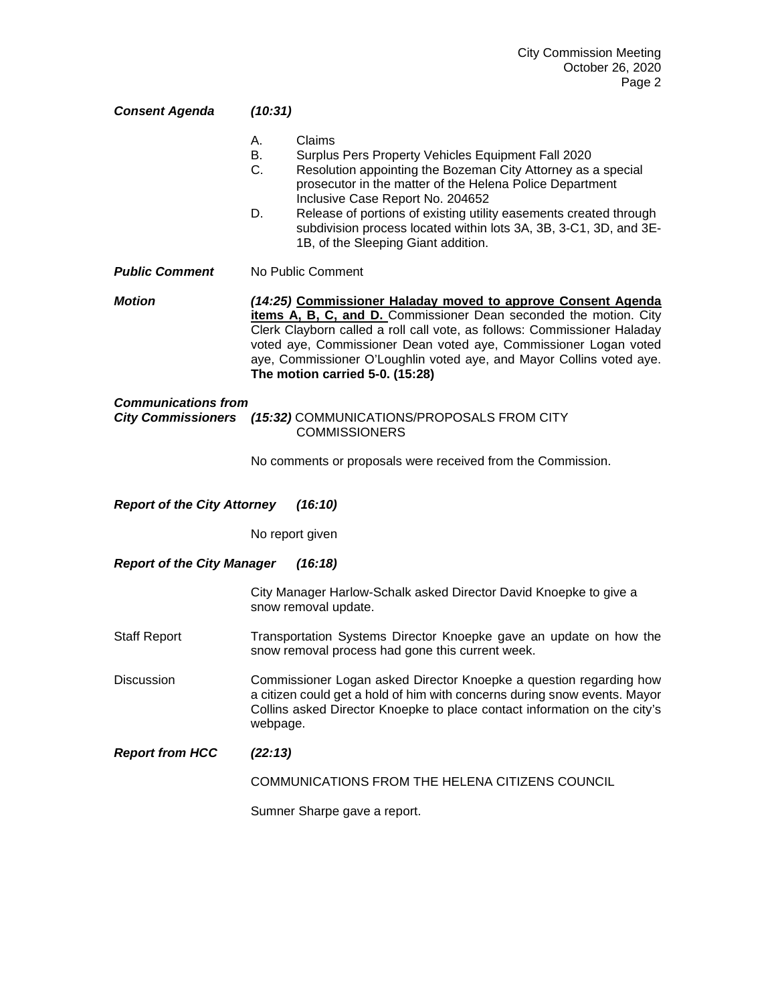| <b>Consent Agenda</b>                                                                                 | (10:31)                                                                                                                                                                                                                                                                                                                                                                                                                               |  |  |  |
|-------------------------------------------------------------------------------------------------------|---------------------------------------------------------------------------------------------------------------------------------------------------------------------------------------------------------------------------------------------------------------------------------------------------------------------------------------------------------------------------------------------------------------------------------------|--|--|--|
|                                                                                                       | Claims<br>А.<br>В.<br>Surplus Pers Property Vehicles Equipment Fall 2020<br>C.<br>Resolution appointing the Bozeman City Attorney as a special<br>prosecutor in the matter of the Helena Police Department<br>Inclusive Case Report No. 204652<br>Release of portions of existing utility easements created through<br>D.<br>subdivision process located within lots 3A, 3B, 3-C1, 3D, and 3E-<br>1B, of the Sleeping Giant addition. |  |  |  |
| <b>Public Comment</b>                                                                                 | No Public Comment                                                                                                                                                                                                                                                                                                                                                                                                                     |  |  |  |
| <b>Motion</b>                                                                                         | (14:25) Commissioner Haladay moved to approve Consent Agenda<br>items A, B, C, and D. Commissioner Dean seconded the motion. City<br>Clerk Clayborn called a roll call vote, as follows: Commissioner Haladay<br>voted aye, Commissioner Dean voted aye, Commissioner Logan voted<br>aye, Commissioner O'Loughlin voted aye, and Mayor Collins voted aye.<br>The motion carried 5-0. (15:28)                                          |  |  |  |
| <b>Communications from</b><br><b>City Commissioners</b><br>(15:32) COMMUNICATIONS/PROPOSALS FROM CITY |                                                                                                                                                                                                                                                                                                                                                                                                                                       |  |  |  |
|                                                                                                       | <b>COMMISSIONERS</b>                                                                                                                                                                                                                                                                                                                                                                                                                  |  |  |  |
|                                                                                                       | No comments or proposals were received from the Commission.                                                                                                                                                                                                                                                                                                                                                                           |  |  |  |
| <b>Report of the City Attorney</b><br>(16:10)                                                         |                                                                                                                                                                                                                                                                                                                                                                                                                                       |  |  |  |
|                                                                                                       | No report given                                                                                                                                                                                                                                                                                                                                                                                                                       |  |  |  |
| <b>Report of the City Manager</b><br>(16:18)                                                          |                                                                                                                                                                                                                                                                                                                                                                                                                                       |  |  |  |
|                                                                                                       | City Manager Harlow-Schalk asked Director David Knoepke to give a<br>snow removal update.                                                                                                                                                                                                                                                                                                                                             |  |  |  |
| <b>Staff Report</b>                                                                                   | Transportation Systems Director Knoepke gave an update on how the<br>snow removal process had gone this current week.                                                                                                                                                                                                                                                                                                                 |  |  |  |
| Discussion                                                                                            | Commissioner Logan asked Director Knoepke a question regarding how<br>a citizen could get a hold of him with concerns during snow events. Mayor<br>Collins asked Director Knoepke to place contact information on the city's<br>webpage.                                                                                                                                                                                              |  |  |  |
| <b>Report from HCC</b>                                                                                | (22:13)                                                                                                                                                                                                                                                                                                                                                                                                                               |  |  |  |
|                                                                                                       | COMMUNICATIONS FROM THE HELENA CITIZENS COUNCIL                                                                                                                                                                                                                                                                                                                                                                                       |  |  |  |
|                                                                                                       | Sumner Sharpe gave a report.                                                                                                                                                                                                                                                                                                                                                                                                          |  |  |  |